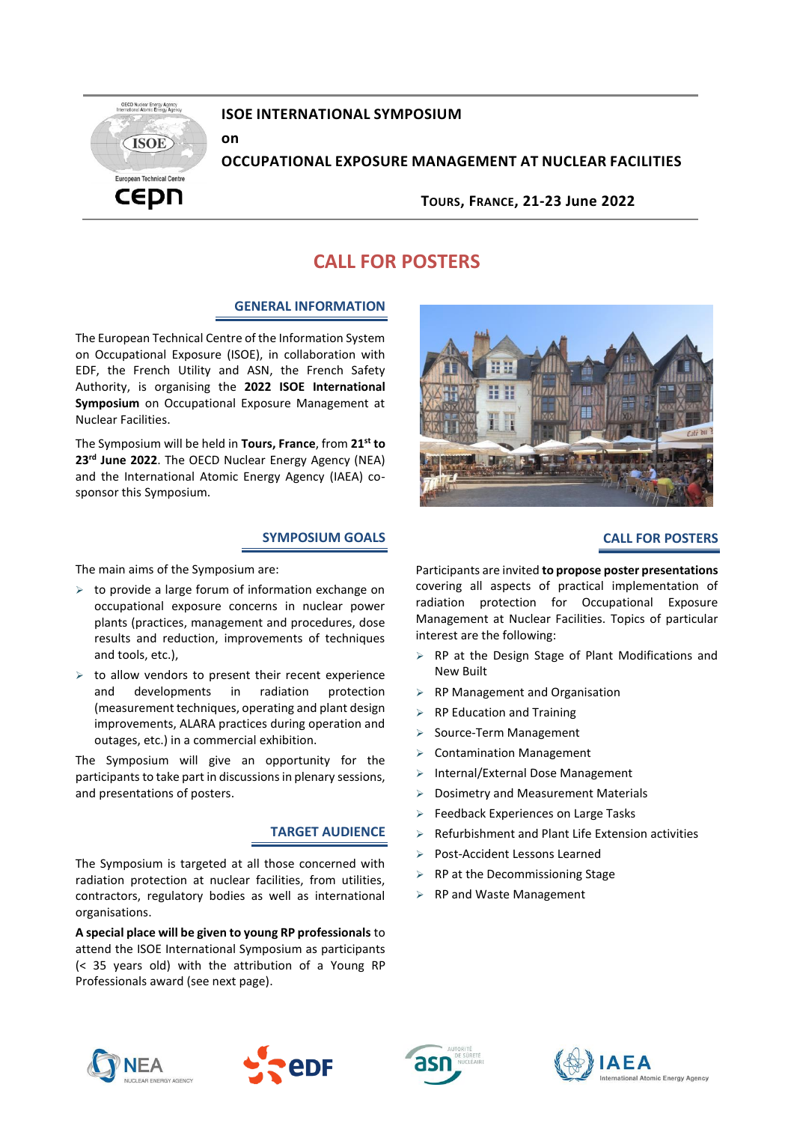

# **ISOE INTERNATIONAL SYMPOSIUM**

**on**

# **OCCUPATIONAL EXPOSURE MANAGEMENT AT NUCLEAR FACILITIES**

**TOURS, FRANCE, 21-23 June 2022**

# **CALL FOR POSTERS**

# **GENERAL INFORMATION**

The European Technical Centre of the Information System on Occupational Exposure (ISOE), in collaboration with EDF, the French Utility and ASN, the French Safety Authority, is organising the **2022 ISOE International Symposium** on Occupational Exposure Management at Nuclear Facilities.

The Symposium will be held in **Tours, France**, from **21st to 23rd June 2022**. The OECD Nuclear Energy Agency (NEA) and the International Atomic Energy Agency (IAEA) cosponsor this Symposium.

## **SYMPOSIUM GOALS**

The main aims of the Symposium are:

- ➢ to provide a large forum of information exchange on occupational exposure concerns in nuclear power plants (practices, management and procedures, dose results and reduction, improvements of techniques and tools, etc.),
- $\triangleright$  to allow vendors to present their recent experience and developments in radiation protection (measurement techniques, operating and plant design improvements, ALARA practices during operation and outages, etc.) in a commercial exhibition.

The Symposium will give an opportunity for the participants to take part in discussions in plenary sessions, and presentations of posters.

#### **TARGET AUDIENCE**

The Symposium is targeted at all those concerned with radiation protection at nuclear facilities, from utilities, contractors, regulatory bodies as well as international organisations.

**A special place will be given to young RP professionals** to attend the ISOE International Symposium as participants (< 35 years old) with the attribution of a Young RP Professionals award (see next page).



## **CALL FOR POSTERS**

Participants are invited **to propose poster presentations** covering all aspects of practical implementation of radiation protection for Occupational Exposure Management at Nuclear Facilities. Topics of particular interest are the following:

- ➢ RP at the Design Stage of Plant Modifications and New Built
- ➢ RP Management and Organisation
- ➢ RP Education and Training
- Source-Term Management
- ➢ Contamination Management
- ➢ Internal/External Dose Management
- ➢ Dosimetry and Measurement Materials
- ➢ Feedback Experiences on Large Tasks
- ➢ Refurbishment and Plant Life Extension activities
- ➢ Post-Accident Lessons Learned
- $\triangleright$  RP at the Decommissioning Stage
- ➢ RP and Waste Management